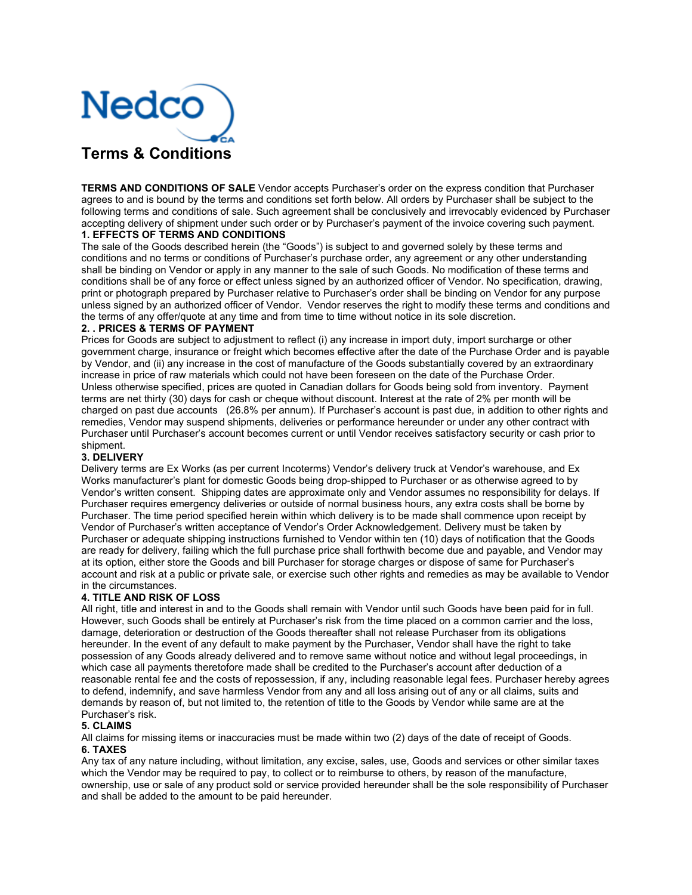

**TERMS AND CONDITIONS OF SALE** Vendor accepts Purchaser's order on the express condition that Purchaser agrees to and is bound by the terms and conditions set forth below. All orders by Purchaser shall be subject to the following terms and conditions of sale. Such agreement shall be conclusively and irrevocably evidenced by Purchaser accepting delivery of shipment under such order or by Purchaser's payment of the invoice covering such payment. **1. EFFECTS OF TERMS AND CONDITIONS** 

The sale of the Goods described herein (the "Goods") is subject to and governed solely by these terms and conditions and no terms or conditions of Purchaser's purchase order, any agreement or any other understanding shall be binding on Vendor or apply in any manner to the sale of such Goods. No modification of these terms and conditions shall be of any force or effect unless signed by an authorized officer of Vendor. No specification, drawing, print or photograph prepared by Purchaser relative to Purchaser's order shall be binding on Vendor for any purpose unless signed by an authorized officer of Vendor. Vendor reserves the right to modify these terms and conditions and the terms of any offer/quote at any time and from time to time without notice in its sole discretion.

#### **2. . PRICES & TERMS OF PAYMENT**

Prices for Goods are subject to adjustment to reflect (i) any increase in import duty, import surcharge or other government charge, insurance or freight which becomes effective after the date of the Purchase Order and is payable by Vendor, and (ii) any increase in the cost of manufacture of the Goods substantially covered by an extraordinary increase in price of raw materials which could not have been foreseen on the date of the Purchase Order. Unless otherwise specified, prices are quoted in Canadian dollars for Goods being sold from inventory. Payment terms are net thirty (30) days for cash or cheque without discount. Interest at the rate of 2% per month will be charged on past due accounts (26.8% per annum). If Purchaser's account is past due, in addition to other rights and remedies, Vendor may suspend shipments, deliveries or performance hereunder or under any other contract with Purchaser until Purchaser's account becomes current or until Vendor receives satisfactory security or cash prior to shipment.

## **3. DELIVERY**

Delivery terms are Ex Works (as per current Incoterms) Vendor's delivery truck at Vendor's warehouse, and Ex Works manufacturer's plant for domestic Goods being drop-shipped to Purchaser or as otherwise agreed to by Vendor's written consent. Shipping dates are approximate only and Vendor assumes no responsibility for delays. If Purchaser requires emergency deliveries or outside of normal business hours, any extra costs shall be borne by Purchaser. The time period specified herein within which delivery is to be made shall commence upon receipt by Vendor of Purchaser's written acceptance of Vendor's Order Acknowledgement. Delivery must be taken by Purchaser or adequate shipping instructions furnished to Vendor within ten (10) days of notification that the Goods are ready for delivery, failing which the full purchase price shall forthwith become due and payable, and Vendor may at its option, either store the Goods and bill Purchaser for storage charges or dispose of same for Purchaser's account and risk at a public or private sale, or exercise such other rights and remedies as may be available to Vendor in the circumstances.

## **4. TITLE AND RISK OF LOSS**

All right, title and interest in and to the Goods shall remain with Vendor until such Goods have been paid for in full. However, such Goods shall be entirely at Purchaser's risk from the time placed on a common carrier and the loss, damage, deterioration or destruction of the Goods thereafter shall not release Purchaser from its obligations hereunder. In the event of any default to make payment by the Purchaser, Vendor shall have the right to take possession of any Goods already delivered and to remove same without notice and without legal proceedings, in which case all payments theretofore made shall be credited to the Purchaser's account after deduction of a reasonable rental fee and the costs of repossession, if any, including reasonable legal fees. Purchaser hereby agrees to defend, indemnify, and save harmless Vendor from any and all loss arising out of any or all claims, suits and demands by reason of, but not limited to, the retention of title to the Goods by Vendor while same are at the Purchaser's risk.

# **5. CLAIMS**

All claims for missing items or inaccuracies must be made within two (2) days of the date of receipt of Goods. **6. TAXES** 

Any tax of any nature including, without limitation, any excise, sales, use, Goods and services or other similar taxes which the Vendor may be required to pay, to collect or to reimburse to others, by reason of the manufacture, ownership, use or sale of any product sold or service provided hereunder shall be the sole responsibility of Purchaser and shall be added to the amount to be paid hereunder.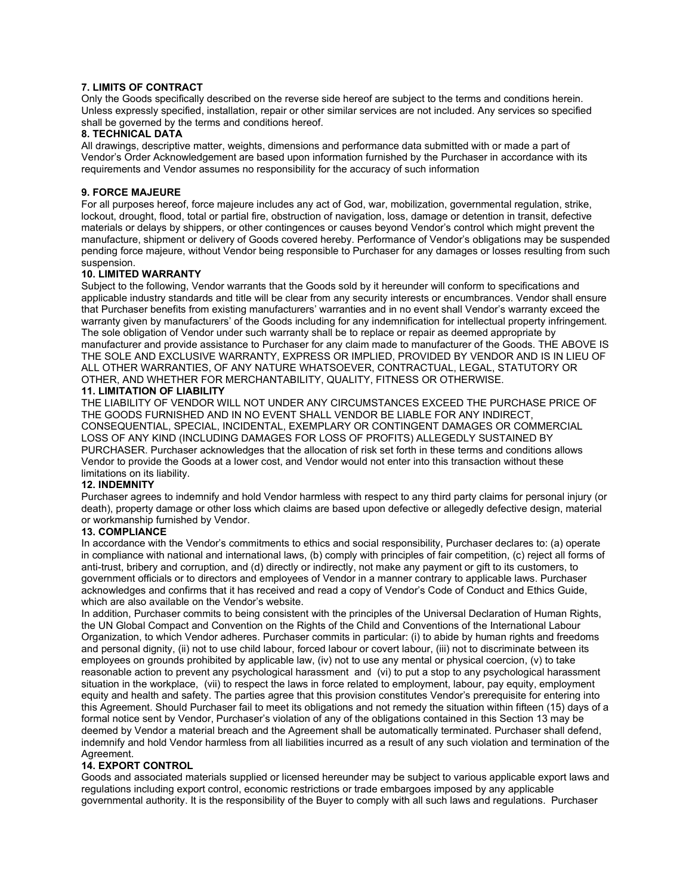## **7. LIMITS OF CONTRACT**

Only the Goods specifically described on the reverse side hereof are subject to the terms and conditions herein. Unless expressly specified, installation, repair or other similar services are not included. Any services so specified shall be governed by the terms and conditions hereof.

## **8. TECHNICAL DATA**

All drawings, descriptive matter, weights, dimensions and performance data submitted with or made a part of Vendor's Order Acknowledgement are based upon information furnished by the Purchaser in accordance with its requirements and Vendor assumes no responsibility for the accuracy of such information

# **9. FORCE MAJEURE**

For all purposes hereof, force majeure includes any act of God, war, mobilization, governmental regulation, strike, lockout, drought, flood, total or partial fire, obstruction of navigation, loss, damage or detention in transit, defective materials or delays by shippers, or other contingences or causes beyond Vendor's control which might prevent the manufacture, shipment or delivery of Goods covered hereby. Performance of Vendor's obligations may be suspended pending force majeure, without Vendor being responsible to Purchaser for any damages or losses resulting from such suspension.

#### **10. LIMITED WARRANTY**

Subject to the following, Vendor warrants that the Goods sold by it hereunder will conform to specifications and applicable industry standards and title will be clear from any security interests or encumbrances. Vendor shall ensure that Purchaser benefits from existing manufacturers' warranties and in no event shall Vendor's warranty exceed the warranty given by manufacturers' of the Goods including for any indemnification for intellectual property infringement. The sole obligation of Vendor under such warranty shall be to replace or repair as deemed appropriate by manufacturer and provide assistance to Purchaser for any claim made to manufacturer of the Goods. THE ABOVE IS THE SOLE AND EXCLUSIVE WARRANTY, EXPRESS OR IMPLIED, PROVIDED BY VENDOR AND IS IN LIEU OF ALL OTHER WARRANTIES, OF ANY NATURE WHATSOEVER, CONTRACTUAL, LEGAL, STATUTORY OR OTHER, AND WHETHER FOR MERCHANTABILITY, QUALITY, FITNESS OR OTHERWISE.

# **11. LIMITATION OF LIABILITY**

THE LIABILITY OF VENDOR WILL NOT UNDER ANY CIRCUMSTANCES EXCEED THE PURCHASE PRICE OF THE GOODS FURNISHED AND IN NO EVENT SHALL VENDOR BE LIABLE FOR ANY INDIRECT, CONSEQUENTIAL, SPECIAL, INCIDENTAL, EXEMPLARY OR CONTINGENT DAMAGES OR COMMERCIAL LOSS OF ANY KIND (INCLUDING DAMAGES FOR LOSS OF PROFITS) ALLEGEDLY SUSTAINED BY PURCHASER. Purchaser acknowledges that the allocation of risk set forth in these terms and conditions allows Vendor to provide the Goods at a lower cost, and Vendor would not enter into this transaction without these limitations on its liability.

# **12. INDEMNITY**

Purchaser agrees to indemnify and hold Vendor harmless with respect to any third party claims for personal injury (or death), property damage or other loss which claims are based upon defective or allegedly defective design, material or workmanship furnished by Vendor.

### **13. COMPLIANCE**

In accordance with the Vendor's commitments to ethics and social responsibility, Purchaser declares to: (a) operate in compliance with national and international laws, (b) comply with principles of fair competition, (c) reject all forms of anti-trust, bribery and corruption, and (d) directly or indirectly, not make any payment or gift to its customers, to government officials or to directors and employees of Vendor in a manner contrary to applicable laws. Purchaser acknowledges and confirms that it has received and read a copy of Vendor's Code of Conduct and Ethics Guide, which are also available on the Vendor's website.

In addition, Purchaser commits to being consistent with the principles of the Universal Declaration of Human Rights, the UN Global Compact and Convention on the Rights of the Child and Conventions of the International Labour Organization, to which Vendor adheres. Purchaser commits in particular: (i) to abide by human rights and freedoms and personal dignity, (ii) not to use child labour, forced labour or covert labour, (iii) not to discriminate between its employees on grounds prohibited by applicable law, (iv) not to use any mental or physical coercion, (v) to take reasonable action to prevent any psychological harassment and (vi) to put a stop to any psychological harassment situation in the workplace, (vii) to respect the laws in force related to employment, labour, pay equity, employment equity and health and safety. The parties agree that this provision constitutes Vendor's prerequisite for entering into this Agreement. Should Purchaser fail to meet its obligations and not remedy the situation within fifteen (15) days of a formal notice sent by Vendor, Purchaser's violation of any of the obligations contained in this Section 13 may be deemed by Vendor a material breach and the Agreement shall be automatically terminated. Purchaser shall defend, indemnify and hold Vendor harmless from all liabilities incurred as a result of any such violation and termination of the Agreement.

## **14. EXPORT CONTROL**

Goods and associated materials supplied or licensed hereunder may be subject to various applicable export laws and regulations including export control, economic restrictions or trade embargoes imposed by any applicable governmental authority. It is the responsibility of the Buyer to comply with all such laws and regulations. Purchaser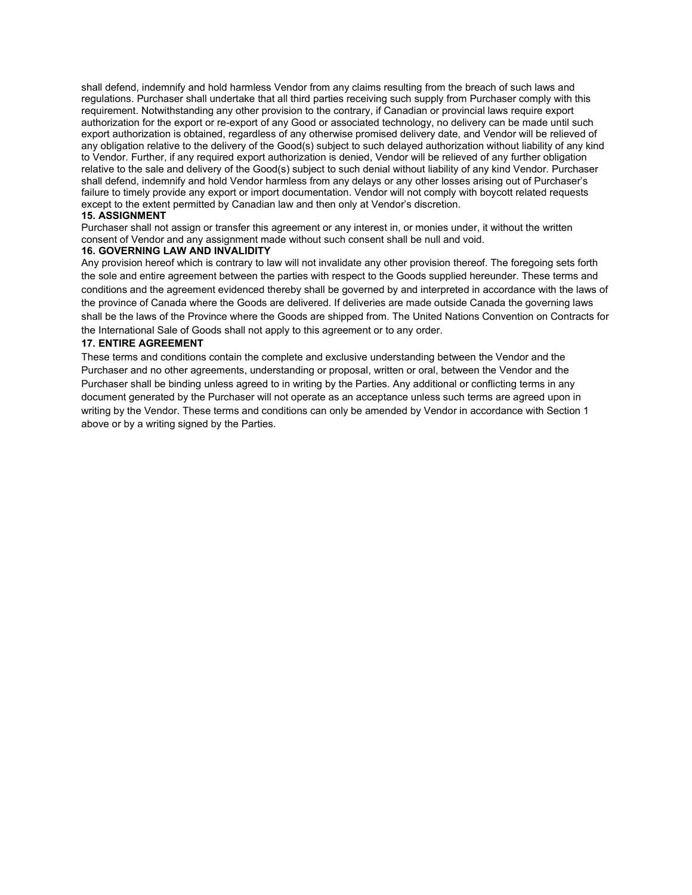shall defend, indemnify and hold harmless Vendor from any claims resulting from the breach of such laws and regulations. Purchaser shall undertake that all third parties receiving such supply from Purchaser comply with this requirement. Notwithstanding any other provision to the contrary, if Canadian or provincial laws require export authorization for the export or re-export of any Good or associated technology, no delivery can be made until such export authorization is obtained, regardless of any otherwise promised delivery date, and Vendor will be relieved of any obligation relative to the delivery of the Good(s) subject to such delayed authorization without liability of any kind to Vendor. Further, if any required export authorization is denied, Vendor will be relieved of any further obligation relative to the sale and delivery of the Good(s) subject to such denial without liability of any kind Vendor. Purchaser shall defend, indemnify and hold Vendor harmless from any delays or any other losses arising out of Purchaser's failure to timely provide any export or import documentation. Vendor will not comply with boycott related requests except to the extent permitted by Canadian law and then only at Vendor's discretion.

#### **15. ASSIGNMENT**

Purchaser shall not assign or transfer this agreement or any interest in, or monies under, it without the written consent of Vendor and any assignment made without such consent shall be null and void.

#### **16. GOVERNING LAW AND INVALIDITY**

Any provision hereof which is contrary to law will not invalidate any other provision thereof. The foregoing sets forth the sole and entire agreement between the parties with respect to the Goods supplied hereunder. These terms and conditions and the agreement evidenced thereby shall be governed by and interpreted in accordance with the laws of the province of Canada where the Goods are delivered. If deliveries are made outside Canada the governing laws shall be the laws of the Province where the Goods are shipped from. The United Nations Convention on Contracts for the International Sale of Goods shall not apply to this agreement or to any order.

#### **17. ENTIRE AGREEMENT**

These terms and conditions contain the complete and exclusive understanding between the Vendor and the Purchaser and no other agreements, understanding or proposal, written or oral, between the Vendor and the Purchaser shall be binding unless agreed to in writing by the Parties. Any additional or conflicting terms in any document generated by the Purchaser will not operate as an acceptance unless such terms are agreed upon in writing by the Vendor. These terms and conditions can only be amended by Vendor in accordance with Section 1 above or by a writing signed by the Parties.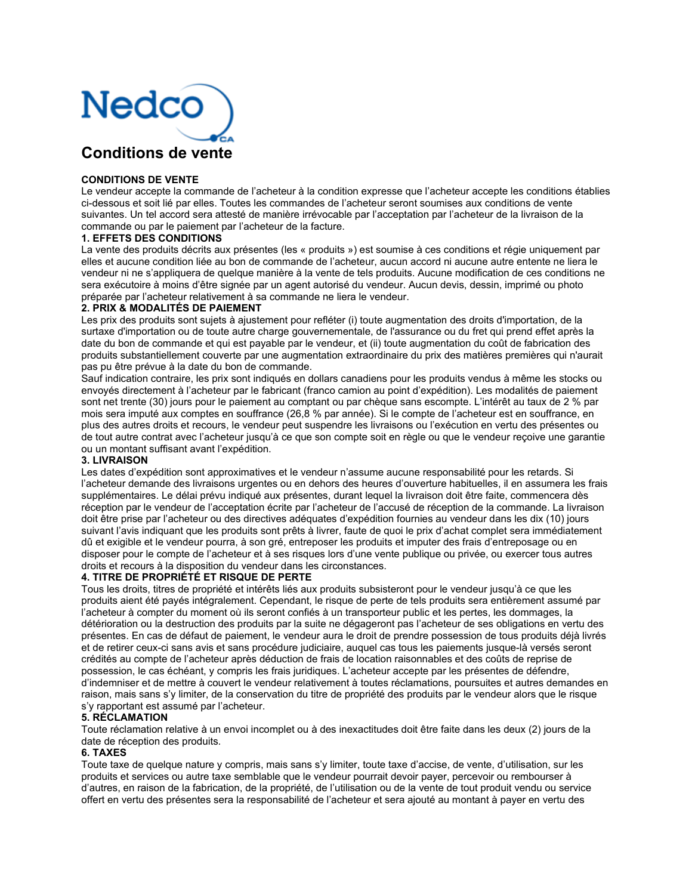

### **CONDITIONS DE VENTE**

Le vendeur accepte la commande de l'acheteur à la condition expresse que l'acheteur accepte les conditions établies ci-dessous et soit lié par elles. Toutes les commandes de l'acheteur seront soumises aux conditions de vente suivantes. Un tel accord sera attesté de manière irrévocable par l'acceptation par l'acheteur de la livraison de la commande ou par le paiement par l'acheteur de la facture.

#### **1. EFFETS DES CONDITIONS**

La vente des produits décrits aux présentes (les « produits ») est soumise à ces conditions et régie uniquement par elles et aucune condition liée au bon de commande de l'acheteur, aucun accord ni aucune autre entente ne liera le vendeur ni ne s'appliquera de quelque manière à la vente de tels produits. Aucune modification de ces conditions ne sera exécutoire à moins d'être signée par un agent autorisé du vendeur. Aucun devis, dessin, imprimé ou photo préparée par l'acheteur relativement à sa commande ne liera le vendeur.

#### **2. PRIX & MODALITÉS DE PAIEMENT**

Les prix des produits sont sujets à ajustement pour refléter (i) toute augmentation des droits d'importation, de la surtaxe d'importation ou de toute autre charge gouvernementale, de l'assurance ou du fret qui prend effet après la date du bon de commande et qui est payable par le vendeur, et (ii) toute augmentation du coût de fabrication des produits substantiellement couverte par une augmentation extraordinaire du prix des matières premières qui n'aurait pas pu être prévue à la date du bon de commande.

Sauf indication contraire, les prix sont indiqués en dollars canadiens pour les produits vendus à même les stocks ou envoyés directement à l'acheteur par le fabricant (franco camion au point d'expédition). Les modalités de paiement sont net trente (30) jours pour le paiement au comptant ou par chèque sans escompte. L'intérêt au taux de 2 % par mois sera imputé aux comptes en souffrance (26,8 % par année). Si le compte de l'acheteur est en souffrance, en plus des autres droits et recours, le vendeur peut suspendre les livraisons ou l'exécution en vertu des présentes ou de tout autre contrat avec l'acheteur jusqu'à ce que son compte soit en règle ou que le vendeur reçoive une garantie ou un montant suffisant avant l'expédition.

### **3. LIVRAISON**

Les dates d'expédition sont approximatives et le vendeur n'assume aucune responsabilité pour les retards. Si l'acheteur demande des livraisons urgentes ou en dehors des heures d'ouverture habituelles, il en assumera les frais supplémentaires. Le délai prévu indiqué aux présentes, durant lequel la livraison doit être faite, commencera dès réception par le vendeur de l'acceptation écrite par l'acheteur de l'accusé de réception de la commande. La livraison doit être prise par l'acheteur ou des directives adéquates d'expédition fournies au vendeur dans les dix (10) jours suivant l'avis indiquant que les produits sont prêts à livrer, faute de quoi le prix d'achat complet sera immédiatement dû et exigible et le vendeur pourra, à son gré, entreposer les produits et imputer des frais d'entreposage ou en disposer pour le compte de l'acheteur et à ses risques lors d'une vente publique ou privée, ou exercer tous autres droits et recours à la disposition du vendeur dans les circonstances.

## **4. TITRE DE PROPRIÉTÉ ET RISQUE DE PERTE**

Tous les droits, titres de propriété et intérêts liés aux produits subsisteront pour le vendeur jusqu'à ce que les produits aient été payés intégralement. Cependant, le risque de perte de tels produits sera entièrement assumé par l'acheteur à compter du moment où ils seront confiés à un transporteur public et les pertes, les dommages, la détérioration ou la destruction des produits par la suite ne dégageront pas l'acheteur de ses obligations en vertu des présentes. En cas de défaut de paiement, le vendeur aura le droit de prendre possession de tous produits déjà livrés et de retirer ceux-ci sans avis et sans procédure judiciaire, auquel cas tous les paiements jusque-là versés seront crédités au compte de l'acheteur après déduction de frais de location raisonnables et des coûts de reprise de possession, le cas échéant, y compris les frais juridiques. L'acheteur accepte par les présentes de défendre, d'indemniser et de mettre à couvert le vendeur relativement à toutes réclamations, poursuites et autres demandes en raison, mais sans s'y limiter, de la conservation du titre de propriété des produits par le vendeur alors que le risque s'y rapportant est assumé par l'acheteur.

#### **5. RÉCLAMATION**

Toute réclamation relative à un envoi incomplet ou à des inexactitudes doit être faite dans les deux (2) jours de la date de réception des produits.

#### **6. TAXES**

Toute taxe de quelque nature y compris, mais sans s'y limiter, toute taxe d'accise, de vente, d'utilisation, sur les produits et services ou autre taxe semblable que le vendeur pourrait devoir payer, percevoir ou rembourser à d'autres, en raison de la fabrication, de la propriété, de l'utilisation ou de la vente de tout produit vendu ou service offert en vertu des présentes sera la responsabilité de l'acheteur et sera ajouté au montant à payer en vertu des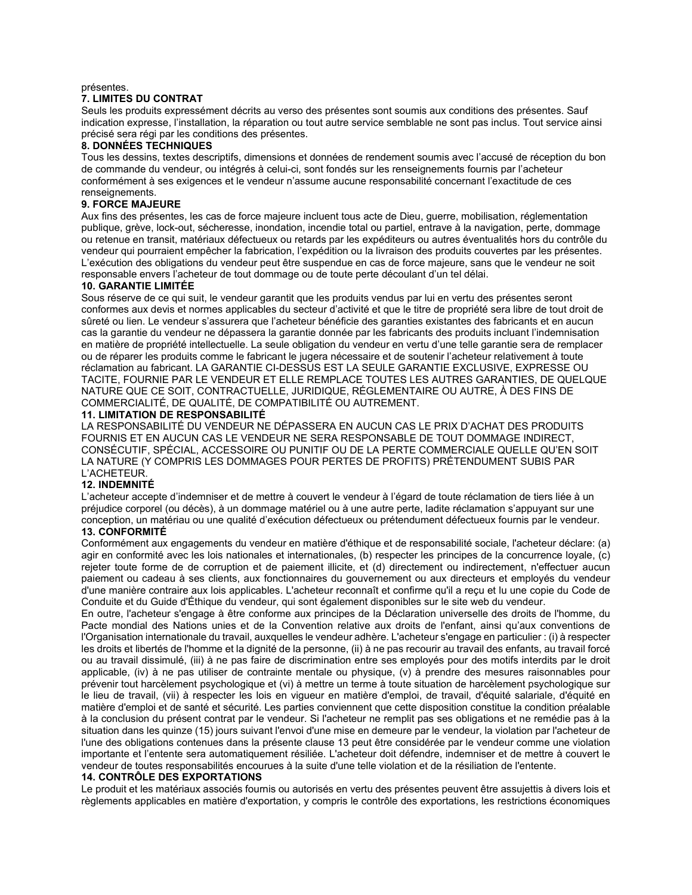## présentes.

# **7. LIMITES DU CONTRAT**

Seuls les produits expressément décrits au verso des présentes sont soumis aux conditions des présentes. Sauf indication expresse, l'installation, la réparation ou tout autre service semblable ne sont pas inclus. Tout service ainsi précisé sera régi par les conditions des présentes.

#### **8. DONNÉES TECHNIQUES**

Tous les dessins, textes descriptifs, dimensions et données de rendement soumis avec l'accusé de réception du bon de commande du vendeur, ou intégrés à celui-ci, sont fondés sur les renseignements fournis par l'acheteur conformément à ses exigences et le vendeur n'assume aucune responsabilité concernant l'exactitude de ces renseignements.

## **9. FORCE MAJEURE**

Aux fins des présentes, les cas de force majeure incluent tous acte de Dieu, guerre, mobilisation, réglementation publique, grève, lock-out, sécheresse, inondation, incendie total ou partiel, entrave à la navigation, perte, dommage ou retenue en transit, matériaux défectueux ou retards par les expéditeurs ou autres éventualités hors du contrôle du vendeur qui pourraient empêcher la fabrication, l'expédition ou la livraison des produits couvertes par les présentes. L'exécution des obligations du vendeur peut être suspendue en cas de force majeure, sans que le vendeur ne soit responsable envers l'acheteur de tout dommage ou de toute perte découlant d'un tel délai.

#### **10. GARANTIE LIMITÉE**

Sous réserve de ce qui suit, le vendeur garantit que les produits vendus par lui en vertu des présentes seront conformes aux devis et normes applicables du secteur d'activité et que le titre de propriété sera libre de tout droit de sûreté ou lien. Le vendeur s'assurera que l'acheteur bénéficie des garanties existantes des fabricants et en aucun cas la garantie du vendeur ne dépassera la garantie donnée par les fabricants des produits incluant l'indemnisation en matière de propriété intellectuelle. La seule obligation du vendeur en vertu d'une telle garantie sera de remplacer ou de réparer les produits comme le fabricant le jugera nécessaire et de soutenir l'acheteur relativement à toute réclamation au fabricant. LA GARANTIE CI-DESSUS EST LA SEULE GARANTIE EXCLUSIVE, EXPRESSE OU TACITE, FOURNIE PAR LE VENDEUR ET ELLE REMPLACE TOUTES LES AUTRES GARANTIES, DE QUELQUE NATURE QUE CE SOIT, CONTRACTUELLE, JURIDIQUE, RÉGLEMENTAIRE OU AUTRE, À DES FINS DE COMMERCIALITÉ, DE QUALITÉ, DE COMPATIBILITÉ OU AUTREMENT.

#### **11. LIMITATION DE RESPONSABILITÉ**

LA RESPONSABILITÉ DU VENDEUR NE DÉPASSERA EN AUCUN CAS LE PRIX D'ACHAT DES PRODUITS FOURNIS ET EN AUCUN CAS LE VENDEUR NE SERA RESPONSABLE DE TOUT DOMMAGE INDIRECT, CONSÉCUTIF, SPÉCIAL, ACCESSOIRE OU PUNITIF OU DE LA PERTE COMMERCIALE QUELLE QU'EN SOIT LA NATURE (Y COMPRIS LES DOMMAGES POUR PERTES DE PROFITS) PRÉTENDUMENT SUBIS PAR L'ACHETEUR.

#### **12. INDEMNITÉ**

L'acheteur accepte d'indemniser et de mettre à couvert le vendeur à l'égard de toute réclamation de tiers liée à un préjudice corporel (ou décès), à un dommage matériel ou à une autre perte, ladite réclamation s'appuyant sur une conception, un matériau ou une qualité d'exécution défectueux ou prétendument défectueux fournis par le vendeur.

# **13. CONFORMITÉ**

Conformément aux engagements du vendeur en matière d'éthique et de responsabilité sociale, l'acheteur déclare: (a) agir en conformité avec les lois nationales et internationales, (b) respecter les principes de la concurrence loyale, (c) rejeter toute forme de de corruption et de paiement illicite, et (d) directement ou indirectement, n'effectuer aucun paiement ou cadeau à ses clients, aux fonctionnaires du gouvernement ou aux directeurs et employés du vendeur d'une manière contraire aux lois applicables. L'acheteur reconnaît et confirme qu'il a reçu et lu une copie du Code de Conduite et du Guide d'Éthique du vendeur, qui sont également disponibles sur le site web du vendeur.

En outre, l'acheteur s'engage à être conforme aux principes de la Déclaration universelle des droits de l'homme, du Pacte mondial des Nations unies et de la Convention relative aux droits de l'enfant, ainsi qu'aux conventions de l'Organisation internationale du travail, auxquelles le vendeur adhère. L'acheteur s'engage en particulier : (i) à respecter les droits et libertés de l'homme et la dignité de la personne, (ii) à ne pas recourir au travail des enfants, au travail forcé ou au travail dissimulé, (iii) à ne pas faire de discrimination entre ses employés pour des motifs interdits par le droit applicable, (iv) à ne pas utiliser de contrainte mentale ou physique, (v) à prendre des mesures raisonnables pour prévenir tout harcèlement psychologique et (vi) à mettre un terme à toute situation de harcèlement psychologique sur le lieu de travail, (vii) à respecter les lois en vigueur en matière d'emploi, de travail, d'équité salariale, d'équité en matière d'emploi et de santé et sécurité. Les parties conviennent que cette disposition constitue la condition préalable à la conclusion du présent contrat par le vendeur. Si l'acheteur ne remplit pas ses obligations et ne remédie pas à la situation dans les quinze (15) jours suivant l'envoi d'une mise en demeure par le vendeur, la violation par l'acheteur de l'une des obligations contenues dans la présente clause 13 peut être considérée par le vendeur comme une violation importante et l'entente sera automatiquement résiliée. L'acheteur doit défendre, indemniser et de mettre à couvert le vendeur de toutes responsabilités encourues à la suite d'une telle violation et de la résiliation de l'entente.

#### **14. CONTRÔLE DES EXPORTATIONS**

Le produit et les matériaux associés fournis ou autorisés en vertu des présentes peuvent être assujettis à divers lois et règlements applicables en matière d'exportation, y compris le contrôle des exportations, les restrictions économiques